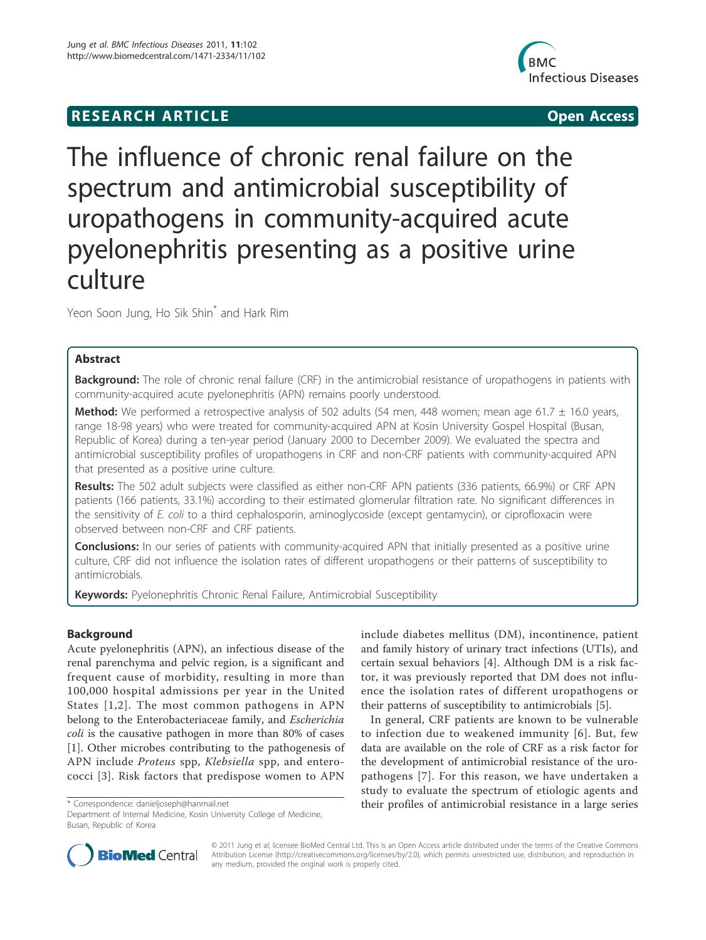# **RESEARCH ARTICLE Example 2018 12:00 Department of the Contract Open Access**



# The influence of chronic renal failure on the spectrum and antimicrobial susceptibility of uropathogens in community-acquired acute pyelonephritis presenting as a positive urine culture

Yeon Soon Jung, Ho Sik Shin<sup>\*</sup> and Hark Rim

# Abstract

Background: The role of chronic renal failure (CRF) in the antimicrobial resistance of uropathogens in patients with community-acquired acute pyelonephritis (APN) remains poorly understood.

Method: We performed a retrospective analysis of 502 adults (54 men, 448 women; mean age 61.7 ± 16.0 years, range 18-98 years) who were treated for community-acquired APN at Kosin University Gospel Hospital (Busan, Republic of Korea) during a ten-year period (January 2000 to December 2009). We evaluated the spectra and antimicrobial susceptibility profiles of uropathogens in CRF and non-CRF patients with community-acquired APN that presented as a positive urine culture.

Results: The 502 adult subjects were classified as either non-CRF APN patients (336 patients, 66.9%) or CRF APN patients (166 patients, 33.1%) according to their estimated glomerular filtration rate. No significant differences in the sensitivity of E. coli to a third cephalosporin, aminoglycoside (except gentamycin), or ciprofloxacin were observed between non-CRF and CRF patients.

**Conclusions:** In our series of patients with community-acquired APN that initially presented as a positive urine culture, CRF did not influence the isolation rates of different uropathogens or their patterns of susceptibility to antimicrobials.

Keywords: Pyelonephritis Chronic Renal Failure, Antimicrobial Susceptibility

# Background

Acute pyelonephritis (APN), an infectious disease of the renal parenchyma and pelvic region, is a significant and frequent cause of morbidity, resulting in more than 100,000 hospital admissions per year in the United States [1,2]. The most common pathogens in APN belong to the Enterobacteriaceae family, and *Escherichia* coli is the causative pathogen in more than 80% of cases [1]. Other microbes contributing to the pathogenesis of APN include Proteus spp, Klebsiella spp, and enterococci [3]. Risk factors that predispose women to APN

Busan, Republic of Korea

include diabetes mellitus (DM), incontinence, patient and family history of urinary tract infections (UTIs), and certain sexual behaviors [4]. Although DM is a risk factor, it was previously reported that DM does not influence the isolation rates of different uropathogens or their patterns of susceptibility to antimicrobials [5].

In general, CRF patients are known to be vulnerable to infection due to weakened immunity [6]. But, few data are available on the role of CRF as a risk factor for the development of antimicrobial resistance of the uropathogens [7]. For this reason, we have undertaken a study to evaluate the spectrum of etiologic agents and \* Correspondence: danieljoseph@hanmail.net their profiles of antimicrobial resistance in a large series Department of Internal Medicine, Kosin University College of Medicine,



© 2011 Jung et al; licensee BioMed Central Ltd. This is an Open Access article distributed under the terms of the Creative Commons Attribution License (http://creativecommons.org/licenses/by/2.0), which permits unrestricted use, distribution, and reproduction in any medium, provided the original work is properly cited.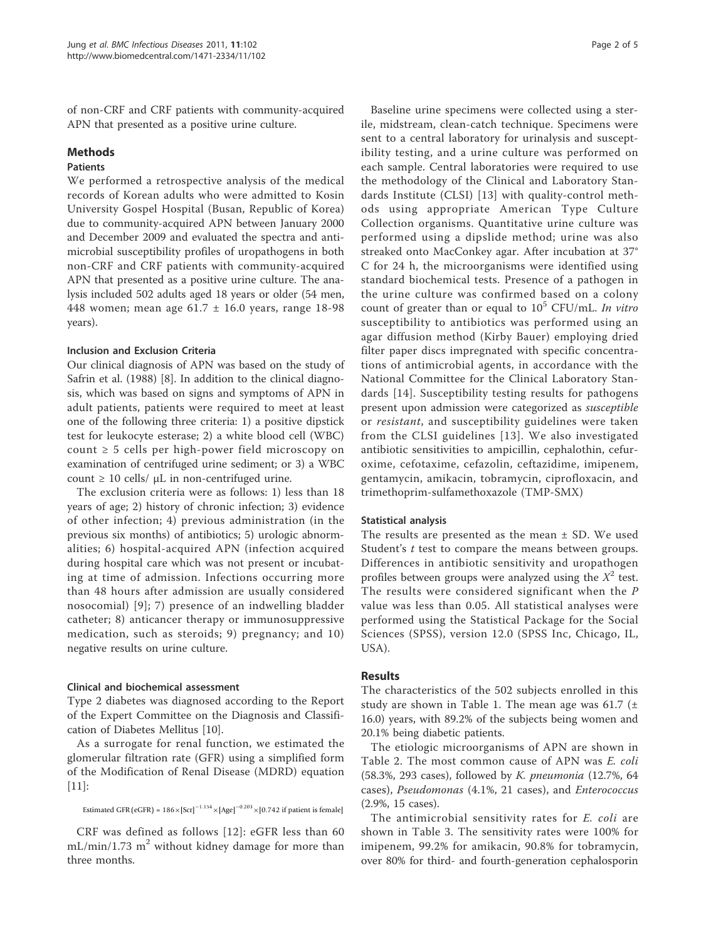of non-CRF and CRF patients with community-acquired APN that presented as a positive urine culture.

# Methods

# Patients

We performed a retrospective analysis of the medical records of Korean adults who were admitted to Kosin University Gospel Hospital (Busan, Republic of Korea) due to community-acquired APN between January 2000 and December 2009 and evaluated the spectra and antimicrobial susceptibility profiles of uropathogens in both non-CRF and CRF patients with community-acquired APN that presented as a positive urine culture. The analysis included 502 adults aged 18 years or older (54 men, 448 women; mean age 61.7 ± 16.0 years, range 18-98 years).

### Inclusion and Exclusion Criteria

Our clinical diagnosis of APN was based on the study of Safrin et al. (1988) [8]. In addition to the clinical diagnosis, which was based on signs and symptoms of APN in adult patients, patients were required to meet at least one of the following three criteria: 1) a positive dipstick test for leukocyte esterase; 2) a white blood cell (WBC) count  $\geq 5$  cells per high-power field microscopy on examination of centrifuged urine sediment; or 3) a WBC count  $≥$  10 cells/  $µL$  in non-centrifuged urine.

The exclusion criteria were as follows: 1) less than 18 years of age; 2) history of chronic infection; 3) evidence of other infection; 4) previous administration (in the previous six months) of antibiotics; 5) urologic abnormalities; 6) hospital-acquired APN (infection acquired during hospital care which was not present or incubating at time of admission. Infections occurring more than 48 hours after admission are usually considered nosocomial) [9]; 7) presence of an indwelling bladder catheter; 8) anticancer therapy or immunosuppressive medication, such as steroids; 9) pregnancy; and 10) negative results on urine culture.

# Clinical and biochemical assessment

Type 2 diabetes was diagnosed according to the Report of the Expert Committee on the Diagnosis and Classification of Diabetes Mellitus [10].

As a surrogate for renal function, we estimated the glomerular filtration rate (GFR) using a simplified form of the Modification of Renal Disease (MDRD) equation [11]:

Estimated GFR (eGFR) = 
$$
186 \times \left[ \text{Scr} \right]^{-1.154} \times \left[ \text{Age} \right]^{-0.203} \times \left[ 0.742 \text{ if patient is female} \right]
$$

CRF was defined as follows [12]: eGFR less than 60  $mL/min/1.73$  m<sup>2</sup> without kidney damage for more than three months.

Baseline urine specimens were collected using a sterile, midstream, clean-catch technique. Specimens were sent to a central laboratory for urinalysis and susceptibility testing, and a urine culture was performed on each sample. Central laboratories were required to use the methodology of the Clinical and Laboratory Standards Institute (CLSI) [13] with quality-control methods using appropriate American Type Culture Collection organisms. Quantitative urine culture was performed using a dipslide method; urine was also streaked onto MacConkey agar. After incubation at 37° C for 24 h, the microorganisms were identified using standard biochemical tests. Presence of a pathogen in the urine culture was confirmed based on a colony count of greater than or equal to  $10^5$  CFU/mL. In vitro susceptibility to antibiotics was performed using an agar diffusion method (Kirby Bauer) employing dried filter paper discs impregnated with specific concentrations of antimicrobial agents, in accordance with the National Committee for the Clinical Laboratory Standards [14]. Susceptibility testing results for pathogens present upon admission were categorized as susceptible or resistant, and susceptibility guidelines were taken from the CLSI guidelines [13]. We also investigated antibiotic sensitivities to ampicillin, cephalothin, cefuroxime, cefotaxime, cefazolin, ceftazidime, imipenem, gentamycin, amikacin, tobramycin, ciprofloxacin, and trimethoprim-sulfamethoxazole (TMP-SMX)

#### Statistical analysis

The results are presented as the mean  $\pm$  SD. We used Student's *t* test to compare the means between groups. Differences in antibiotic sensitivity and uropathogen profiles between groups were analyzed using the  $X^2$  test. The results were considered significant when the P value was less than 0.05. All statistical analyses were performed using the Statistical Package for the Social Sciences (SPSS), version 12.0 (SPSS Inc, Chicago, IL, USA).

# Results

The characteristics of the 502 subjects enrolled in this study are shown in Table 1. The mean age was 61.7  $(\pm$ 16.0) years, with 89.2% of the subjects being women and 20.1% being diabetic patients.

The etiologic microorganisms of APN are shown in Table 2. The most common cause of APN was E. coli (58.3%, 293 cases), followed by K. pneumonia (12.7%, 64 cases), Pseudomonas (4.1%, 21 cases), and Enterococcus (2.9%, 15 cases).

The antimicrobial sensitivity rates for E. coli are shown in Table 3. The sensitivity rates were 100% for imipenem, 99.2% for amikacin, 90.8% for tobramycin, over 80% for third- and fourth-generation cephalosporin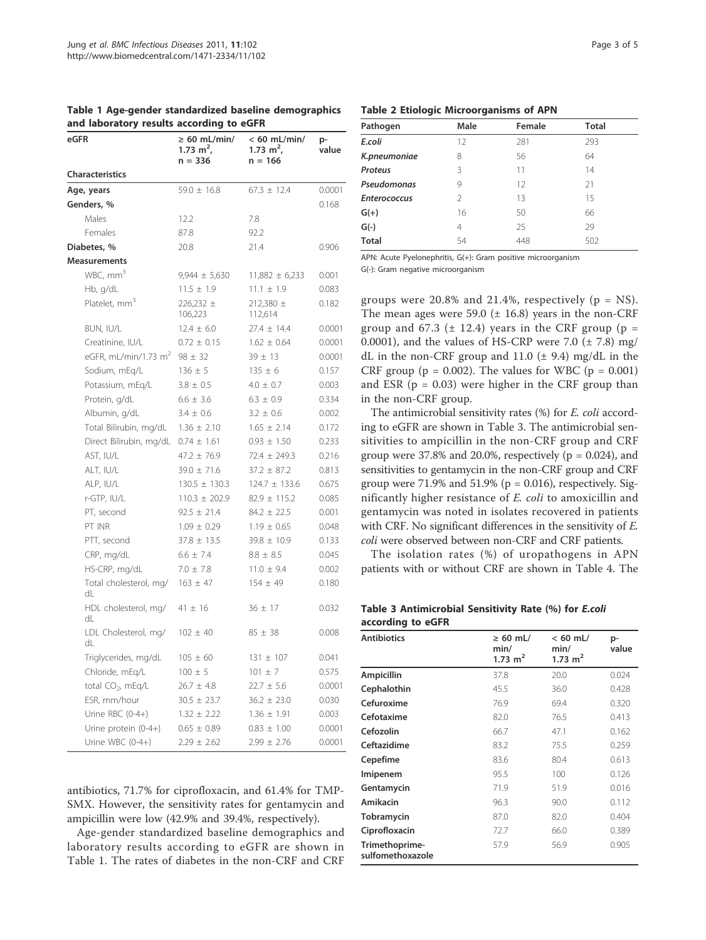| eGFR                          | $\geq 60$ mL/min/<br>1.73 $m^2$ ,<br>$n = 336$ | $< 60$ mL/min/<br>1.73 $m^2$ ,<br>$n = 166$ | p-<br>value |
|-------------------------------|------------------------------------------------|---------------------------------------------|-------------|
| <b>Characteristics</b>        |                                                |                                             |             |
| Age, years                    | $59.0 \pm 16.8$                                | $67.3 \pm 12.4$                             | 0.0001      |
| Genders, %                    |                                                |                                             | 0.168       |
| Males                         | 12.2                                           | 7.8                                         |             |
| Females                       | 87.8                                           | 92.2                                        |             |
| Diabetes, %                   | 20.8                                           | 21.4                                        | 0.906       |
| <b>Measurements</b>           |                                                |                                             |             |
| WBC, mm <sup>3</sup>          | $9,944 \pm 5,630$                              | $11,882 \pm 6,233$                          | 0.001       |
| Hb, g/dL                      | $11.5 \pm 1.9$                                 | $11.1 \pm 1.9$                              | 0.083       |
| Platelet, mm <sup>3</sup>     | $226,232 \pm$<br>106,223                       | 212,380 ±<br>112,614                        | 0.182       |
| BUN, IU/L                     | $12.4 \pm 6.0$                                 | $27.4 \pm 14.4$                             | 0.0001      |
| Creatinine, IU/L              | $0.72 \pm 0.15$                                | $1.62 \pm 0.64$                             | 0.0001      |
| eGFR, mL/min/1.73 $m2$        | $98 \pm 32$                                    | $39 \pm 13$                                 | 0.0001      |
| Sodium, mEq/L                 | $136 \pm 5$                                    | $135 \pm 6$                                 | 0.157       |
| Potassium, mEg/L              | $3.8 \pm 0.5$                                  | $4.0 \pm 0.7$                               | 0.003       |
| Protein, g/dL                 | $6.6 \pm 3.6$                                  | $6.3 \pm 0.9$                               | 0.334       |
| Albumin, g/dL                 | $3.4 \pm 0.6$                                  | $3.2 \pm 0.6$                               | 0.002       |
| Total Bilirubin, mg/dL        | $1.36 \pm 2.10$                                | $1.65 \pm 2.14$                             | 0.172       |
| Direct Bilirubin, mg/dL       | $0.74 \pm 1.61$                                | $0.93 \pm 1.50$                             | 0.233       |
| AST, IU/L                     | $47.2 \pm 76.9$                                | $72.4 \pm 249.3$                            | 0.216       |
| ALT, IU/L                     | $39.0 \pm 71.6$                                | $37.2 \pm 87.2$                             | 0.813       |
| ALP, IU/L                     | $130.5 \pm 130.3$                              | $124.7 \pm 133.6$                           | 0.675       |
| r-GTP, IU/L                   | $110.3 \pm 202.9$                              | $82.9 \pm 115.2$                            | 0.085       |
| PT, second                    | $92.5 \pm 21.4$                                | $84.2 \pm 22.5$                             | 0.001       |
| PT INR                        | $1.09 \pm 0.29$                                | $1.19 \pm 0.65$                             | 0.048       |
| PTT, second                   | $37.8 \pm 13.5$                                | $39.8 \pm 10.9$                             | 0.133       |
| CRP, mg/dL                    | $6.6 \pm 7.4$                                  | $8.8 \pm 8.5$                               | 0.045       |
| HS-CRP, mg/dL                 | $7.0 \pm 7.8$                                  | $11.0 \pm 9.4$                              | 0.002       |
| Total cholesterol, mg/<br>dL  | $163 \pm 47$                                   | $154 \pm 49$                                | 0.180       |
| HDL cholesterol, mg/<br>dL    | $41 \pm 16$                                    | $36 \pm 17$                                 | 0.032       |
| LDL Cholesterol, mg/<br>dL    | $102 \pm 40$                                   | $85 \pm 38$                                 | 0.008       |
| Triglycerides, mg/dL          | $105 \pm 60$                                   | $131 \pm 107$                               | 0.041       |
| Chloride, mEq/L               | $100 \pm 5$                                    | $101 \pm 7$                                 | 0.575       |
| total CO <sub>2</sub> , mEq/L | $26.7 \pm 4.8$                                 | $22.7 \pm 5.6$                              | 0.0001      |
| ESR, mm/hour                  | $30.5 \pm 23.7$                                | $36.2 \pm 23.0$                             | 0.030       |
| Urine RBC $(0-4+)$            | $1.32 \pm 2.22$                                | $1.36 \pm 1.91$                             | 0.003       |
| Urine protein (0-4+)          | $0.65 \pm 0.89$                                | $0.83 \pm 1.00$                             | 0.0001      |
| Urine WBC (0-4+)              | $2.29 \pm 2.62$                                | $2.99 \pm 2.76$                             | 0.0001      |

Table 1 Age-gender standardized baseline demographics and laboratory results according to eGFR

antibiotics, 71.7% for ciprofloxacin, and 61.4% for TMP-SMX. However, the sensitivity rates for gentamycin and ampicillin were low (42.9% and 39.4%, respectively).

Age-gender standardized baseline demographics and laboratory results according to eGFR are shown in Table 1. The rates of diabetes in the non-CRF and CRF

|  |  |  | <b>Table 2 Etiologic Microorganisms of APN</b> |  |  |
|--|--|--|------------------------------------------------|--|--|
|--|--|--|------------------------------------------------|--|--|

| Pathogen            | Male           | Female | <b>Total</b> |
|---------------------|----------------|--------|--------------|
| E.coli              | 12             | 281    | 293          |
| K.pneumoniae        | 8              | 56     | 64           |
| Proteus             | ζ              | 11     | 14           |
| Pseudomonas         | 9              | 12     | 21           |
| <b>Enterococcus</b> | $\mathfrak{D}$ | 13     | 15           |
| $G(+)$              | 16             | 50     | 66           |
| $G(-)$              | 4              | 25     | 29           |
| <b>Total</b>        | 54             | 448    | 502          |

APN: Acute Pyelonephritis, G(+): Gram positive microorganism G(-): Gram negative microorganism

groups were 20.8% and 21.4%, respectively ( $p = NS$ ). The mean ages were 59.0  $(\pm 16.8)$  years in the non-CRF group and 67.3 ( $\pm$  12.4) years in the CRF group ( $p =$ 0.0001), and the values of HS-CRP were 7.0  $(\pm 7.8)$  mg/ dL in the non-CRF group and 11.0  $(\pm 9.4)$  mg/dL in the CRF group ( $p = 0.002$ ). The values for WBC ( $p = 0.001$ ) and ESR  $(p = 0.03)$  were higher in the CRF group than in the non-CRF group.

The antimicrobial sensitivity rates (%) for E. coli according to eGFR are shown in Table 3. The antimicrobial sensitivities to ampicillin in the non-CRF group and CRF group were  $37.8\%$  and  $20.0\%$ , respectively ( $p = 0.024$ ), and sensitivities to gentamycin in the non-CRF group and CRF group were 71.9% and 51.9% ( $p = 0.016$ ), respectively. Significantly higher resistance of E. coli to amoxicillin and gentamycin was noted in isolates recovered in patients with CRF. No significant differences in the sensitivity of E. coli were observed between non-CRF and CRF patients.

The isolation rates (%) of uropathogens in APN patients with or without CRF are shown in Table 4. The

Table 3 Antimicrobial Sensitivity Rate (%) for E.coli according to eGFR

| <b>Antibiotics</b>                 | $\geq 60$ mL/<br>min/<br>1.73 $m2$ | $< 60$ mL/<br>min/<br>1.73 m <sup>2</sup> | p-<br>value |
|------------------------------------|------------------------------------|-------------------------------------------|-------------|
| Ampicillin                         | 37.8                               | 20.0                                      | 0.024       |
| Cephalothin                        | 45.5                               | 36.0                                      | 0.428       |
| Cefuroxime                         | 76.9                               | 69.4                                      | 0.320       |
| Cefotaxime                         | 82.0                               | 76.5                                      | 0.413       |
| Cefozolin                          | 66.7                               | 47.1                                      | 0.162       |
| Ceftazidime                        | 83.2                               | 75.5                                      | 0.259       |
| Cepefime                           | 83.6                               | 80.4                                      | 0.613       |
| Imipenem                           | 95.5                               | 100                                       | 0.126       |
| Gentamycin                         | 71.9                               | 51.9                                      | 0.016       |
| Amikacin                           | 96.3                               | 90.0                                      | 0.112       |
| Tobramycin                         | 87.0                               | 82.0                                      | 0.404       |
| Ciprofloxacin                      | 72.7                               | 66.0                                      | 0.389       |
| Trimethoprime-<br>sulfomethoxazole | 57.9                               | 56.9                                      | 0.905       |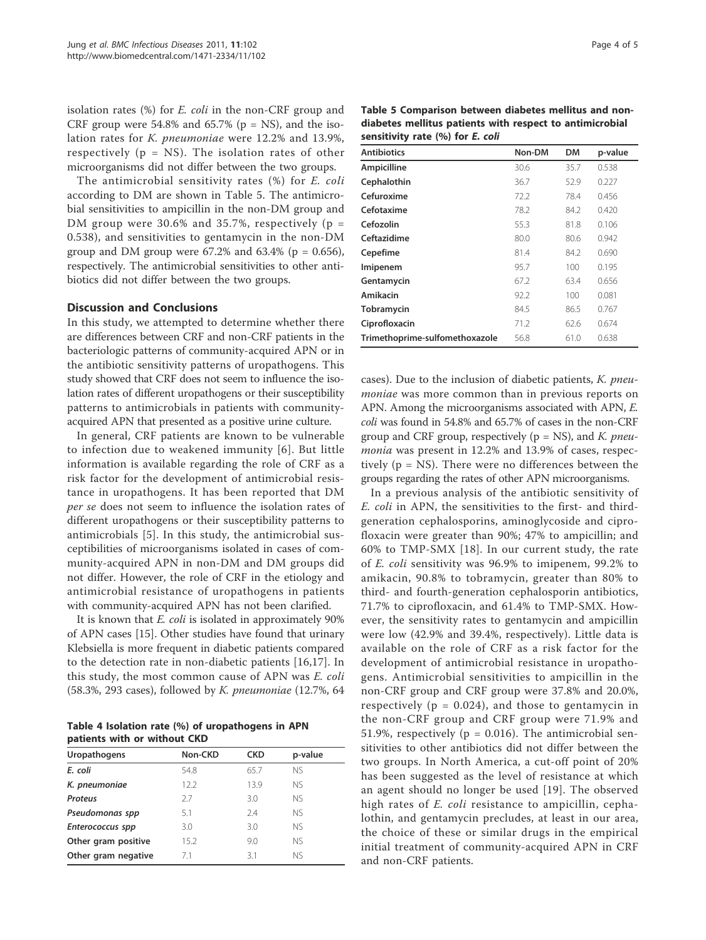isolation rates (%) for E. coli in the non-CRF group and CRF group were  $54.8\%$  and  $65.7\%$  (p = NS), and the isolation rates for K. pneumoniae were 12.2% and 13.9%, respectively ( $p = NS$ ). The isolation rates of other microorganisms did not differ between the two groups.

The antimicrobial sensitivity rates (%) for E. coli according to DM are shown in Table 5. The antimicrobial sensitivities to ampicillin in the non-DM group and DM group were 30.6% and 35.7%, respectively ( $p =$ 0.538), and sensitivities to gentamycin in the non-DM group and DM group were  $67.2\%$  and  $63.4\%$  ( $p = 0.656$ ), respectively. The antimicrobial sensitivities to other antibiotics did not differ between the two groups.

# Discussion and Conclusions

In this study, we attempted to determine whether there are differences between CRF and non-CRF patients in the bacteriologic patterns of community-acquired APN or in the antibiotic sensitivity patterns of uropathogens. This study showed that CRF does not seem to influence the isolation rates of different uropathogens or their susceptibility patterns to antimicrobials in patients with communityacquired APN that presented as a positive urine culture.

In general, CRF patients are known to be vulnerable to infection due to weakened immunity [6]. But little information is available regarding the role of CRF as a risk factor for the development of antimicrobial resistance in uropathogens. It has been reported that DM per se does not seem to influence the isolation rates of different uropathogens or their susceptibility patterns to antimicrobials [5]. In this study, the antimicrobial susceptibilities of microorganisms isolated in cases of community-acquired APN in non-DM and DM groups did not differ. However, the role of CRF in the etiology and antimicrobial resistance of uropathogens in patients with community-acquired APN has not been clarified.

It is known that *E. coli* is isolated in approximately 90% of APN cases [15]. Other studies have found that urinary Klebsiella is more frequent in diabetic patients compared to the detection rate in non-diabetic patients [16,17]. In this study, the most common cause of APN was E. coli (58.3%, 293 cases), followed by K. pneumoniae (12.7%, 64

Table 4 Isolation rate (%) of uropathogens in APN patients with or without CKD

| Uropathogens        | Non-CKD | <b>CKD</b> | p-value   |  |
|---------------------|---------|------------|-----------|--|
| E. coli             | 54.8    | 65.7       | <b>NS</b> |  |
| K. pneumoniae       | 12.2    | 13.9       | <b>NS</b> |  |
| <b>Proteus</b>      | 2.7     | 3.0        | <b>NS</b> |  |
| Pseudomonas spp     | 5.1     | 7.4        | <b>NS</b> |  |
| Enterococcus spp    | 3.0     | 3.0        | <b>NS</b> |  |
| Other gram positive | 15.2    | 9.0        | <b>NS</b> |  |
| Other gram negative | 7.1     | 3.1        | <b>NS</b> |  |
|                     |         |            |           |  |

Table 5 Comparison between diabetes mellitus and nondiabetes mellitus patients with respect to antimicrobial sensitivity rate (%) for E. coli

| <b>Antibiotics</b>             | Non-DM | <b>DM</b> | p-value |
|--------------------------------|--------|-----------|---------|
|                                |        |           |         |
| Ampicilline                    | 30.6   | 35.7      | 0.538   |
| Cephalothin                    | 36.7   | 52.9      | 0.227   |
| Cefuroxime                     | 72.2   | 78.4      | 0.456   |
| Cefotaxime                     | 78.2   | 84.2      | 0.420   |
| Cefozolin                      | 55.3   | 81.8      | 0.106   |
| Ceftazidime                    | 80.0   | 80.6      | 0.942   |
| Cepefime                       | 81.4   | 84.2      | 0.690   |
| Imipenem                       | 95.7   | 100       | 0.195   |
| Gentamycin                     | 67.2   | 63.4      | 0.656   |
| Amikacin                       | 92.2   | 100       | 0.081   |
| Tobramycin                     | 84.5   | 86.5      | 0.767   |
| Ciprofloxacin                  | 71.2   | 62.6      | 0.674   |
| Trimethoprime-sulfomethoxazole | 56.8   | 61.0      | 0.638   |

cases). Due to the inclusion of diabetic patients, K. pneumoniae was more common than in previous reports on APN. Among the microorganisms associated with APN, E. coli was found in 54.8% and 65.7% of cases in the non-CRF group and CRF group, respectively ( $p = NS$ ), and K. *pneu*monia was present in 12.2% and 13.9% of cases, respectively (p = NS). There were no differences between the groups regarding the rates of other APN microorganisms.

In a previous analysis of the antibiotic sensitivity of E. coli in APN, the sensitivities to the first- and thirdgeneration cephalosporins, aminoglycoside and ciprofloxacin were greater than 90%; 47% to ampicillin; and 60% to TMP-SMX [18]. In our current study, the rate of E. coli sensitivity was 96.9% to imipenem, 99.2% to amikacin, 90.8% to tobramycin, greater than 80% to third- and fourth-generation cephalosporin antibiotics, 71.7% to ciprofloxacin, and 61.4% to TMP-SMX. However, the sensitivity rates to gentamycin and ampicillin were low (42.9% and 39.4%, respectively). Little data is available on the role of CRF as a risk factor for the development of antimicrobial resistance in uropathogens. Antimicrobial sensitivities to ampicillin in the non-CRF group and CRF group were 37.8% and 20.0%, respectively ( $p = 0.024$ ), and those to gentamycin in the non-CRF group and CRF group were 71.9% and 51.9%, respectively ( $p = 0.016$ ). The antimicrobial sensitivities to other antibiotics did not differ between the two groups. In North America, a cut-off point of 20% has been suggested as the level of resistance at which an agent should no longer be used [19]. The observed high rates of E. coli resistance to ampicillin, cephalothin, and gentamycin precludes, at least in our area, the choice of these or similar drugs in the empirical initial treatment of community-acquired APN in CRF and non-CRF patients.